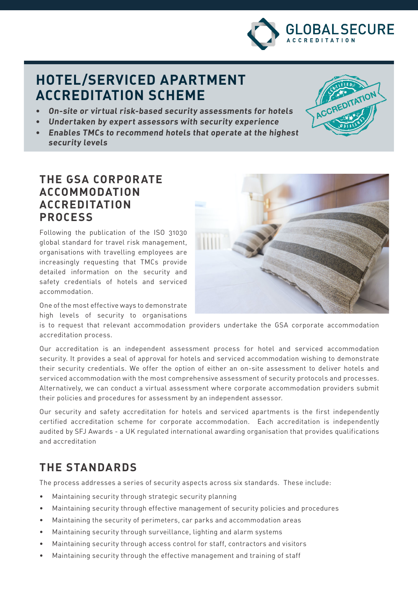

# **ACCREDITATION SCHEME**

- **• On-site or virtual risk-based security assessments for hotels**
- **• Undertaken by expert assessors with security experience**
- **• Enables TMCs to recommend hotels that operate at the highest security levels**

### **THE GSA CORPORATE ACCOMMODATION ACCREDITATION PROCESS**

Following the publication of the ISO 31030 global standard for travel risk management, organisations with travelling employees are increasingly requesting that TMCs provide detailed information on the security and safety credentials of hotels and serviced accommodation.

One of the most effective ways to demonstrate high levels of security to organisations

is to request that relevant accommodation providers undertake the GSA corporate accommodation accreditation process.

Our accreditation is an independent assessment process for hotel and serviced accommodation security. It provides a seal of approval for hotels and serviced accommodation wishing to demonstrate their security credentials. We offer the option of either an on-site assessment to deliver hotels and serviced accommodation with the most comprehensive assessment of security protocols and processes. Alternatively, we can conduct a virtual assessment where corporate accommodation providers submit their policies and procedures for assessment by an independent assessor.

Our security and safety accreditation for hotels and serviced apartments is the first independently certified accreditation scheme for corporate accommodation. Each accreditation is independently audited by SFJ Awards - a UK regulated international awarding organisation that provides qualifications and accreditation

## **THE STANDARDS**

The process addresses a series of security aspects across six standards. These include:

- Maintaining security through strategic security planning
- Maintaining security through effective management of security policies and procedures
- Maintaining the security of perimeters, car parks and accommodation areas
- Maintaining security through surveillance, lighting and alarm systems
- Maintaining security through access control for staff, contractors and visitors
- Maintaining security through the effective management and training of staff